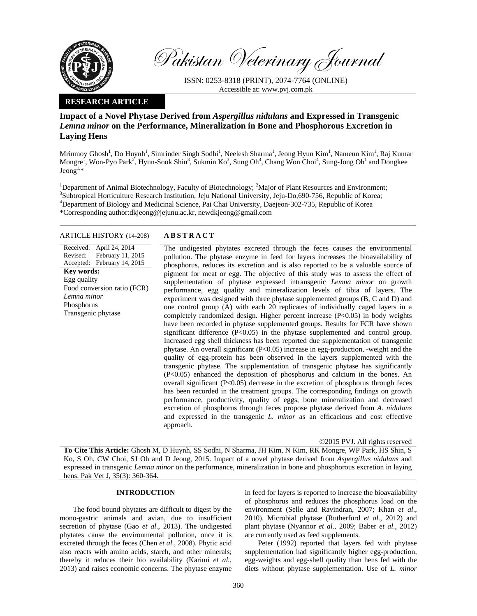

Pakistan Veterinary Journal

ISSN: 0253-8318 (PRINT), 2074-7764 (ONLINE) Accessible at: www.pvj.com.pk

## **RESEARCH ARTICLE**

# **Impact of a Novel Phytase Derived from** *Aspergillus nidulans* **and Expressed in Transgenic**  *Lemna minor* **on the Performance, Mineralization in Bone and Phosphorous Excretion in Laying Hens**

Mrinmoy Ghosh<sup>1</sup>, Do Huynh<sup>1</sup>, Simrinder Singh Sodhi<sup>1</sup>, Neelesh Sharma<sup>1</sup>, Jeong Hyun Kim<sup>1</sup>, Nameun Kim<sup>1</sup>, Raj Kumar Mongre<sup>I</sup>, Won-Pyo Park<sup>2</sup>, Hyun-Sook Shin<sup>3</sup>, Sukmin Ko<sup>3</sup>, Sung Oh<sup>4</sup>, Chang Won Choi<sup>4</sup>, Sung-Jong Oh<sup>1</sup> and Dongkee  $Jeong<sup>1,*</sup>$ 

<sup>1</sup>Department of Animal Biotechnology, Faculty of Biotechnology; <sup>2</sup>Major of Plant Resources and Environment; <sup>3</sup>Subtropical Harticulture Because Institution, Join Mational Harticulture in De 600.756, Benublie of Kereau <sup>3</sup>Subtropical Horticulture Research Institution, Jeju National University, Jeju-Do,690-756, Republic of Korea; 4 Department of Biology and Medicinal Science, Pai Chai University, Daejeon-302-735, Republic of Korea \*Corresponding author:dkjeong@jejunu.ac.kr, newdkjeong@gmail.com

## ARTICLE HISTORY (14-208) **ABSTRACT**

Received: April 24, 2014 Revised: Accepted: February 14, 2015 February 11, 2015 **Key words:**  Egg quality Food conversion ratio (FCR) *Lemna minor*  Phosphorus Transgenic phytase

 The undigested phytates excreted through the feces causes the environmental pollution. The phytase enzyme in feed for layers increases the bioavailability of phosphorus, reduces its excretion and is also reported to be a valuable source of pigment for meat or egg. The objective of this study was to assess the effect of supplementation of phytase expressed intransgenic *Lemna minor* on growth performance, egg quality and mineralization levels of tibia of layers. The experiment was designed with three phytase supplemented groups (B, C and D) and one control group (A) with each 20 replicates of individually caged layers in a completely randomized design. Higher percent increase (P<0.05) in body weights have been recorded in phytase supplemented groups. Results for FCR have shown significant difference (P<0.05) in the phytase supplemented and control group. Increased egg shell thickness has been reported due supplementation of transgenic phytase. An overall significant (P<0.05) increase in egg-production, -weight and the quality of egg-protein has been observed in the layers supplemented with the transgenic phytase. The supplementation of transgenic phytase has significantly (P<0.05) enhanced the deposition of phosphorus and calcium in the bones. An overall significant  $(P<0.05)$  decrease in the excretion of phosphorus through feces has been recorded in the treatment groups. The corresponding findings on growth performance, productivity, quality of eggs, bone mineralization and decreased excretion of phosphorus through feces propose phytase derived from *A. nidulans* and expressed in the transgenic *L. minor* as an efficacious and cost effective approach.

©2015 PVJ. All rights reserved

**To Cite This Article:** Ghosh M, D Huynh, SS Sodhi, N Sharma, JH Kim, N Kim, RK Mongre, WP Park, HS Shin, S Ko, S Oh, CW Choi, SJ Oh and D Jeong, 2015. Impact of a novel phytase derived from *Aspergillus nidulans* and expressed in transgenic *Lemna minor* on the performance, mineralization in bone and phosphorous excretion in laying hens. Pak Vet J, 35(3): 360-364.

## **INTRODUCTION**

The food bound phytates are difficult to digest by the mono-gastric animals and avian, due to insufficient secretion of phytase (Gao *et al.*, 2013). The undigested phytates cause the environmental pollution, once it is excreted through the feces (Chen *et al.*, 2008). Phytic acid also reacts with amino acids, starch, and other minerals; thereby it reduces their bio availability (Karimi *et al.*, 2013) and raises economic concerns. The phytase enzyme in feed for layers is reported to increase the bioavailability of phosphorus and reduces the phosphorus load on the environment (Selle and Ravindran, 2007; Khan *et al*., 2010). Microbial phytase (Rutherfurd *et al.*, 2012) and plant phytase (Nyannor *et al.*, 2009; Baber *et al*., 2012) are currently used as feed supplements.

Peter (1992) reported that layers fed with phytase supplementation had significantly higher egg-production, egg-weights and egg-shell quality than hens fed with the diets without phytase supplementation. Use of *L. minor*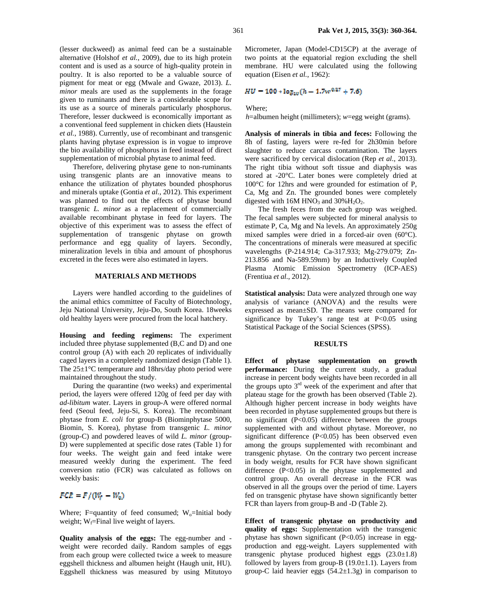(lesser duckweed) as animal feed can be a sustainable alternative (Holshof *et al.*, 2009), due to its high protein content and is used as a source of high-quality protein in poultry. It is also reported to be a valuable source of pigment for meat or egg (Mwale and Gwaze, 2013). *L. minor* meals are used as the supplements in the forage given to ruminants and there is a considerable scope for its use as a source of minerals particularly phosphorus. Therefore, lesser duckweed is economically important as a conventional feed supplement in chicken diets (Haustein *et al.*, 1988). Currently, use of recombinant and transgenic plants having phytase expression is in vogue to improve the bio availability of phosphorus in feed instead of direct

supplementation of microbial phytase to animal feed. Therefore, delivering phytase gene to non-ruminants using transgenic plants are an innovative means to enhance the utilization of phytates bounded phosphorus and minerals uptake (Gontia *et al.*, 2012). This experiment was planned to find out the effects of phytase bound transgenic *L. minor* as a replacement of commercially available recombinant phytase in feed for layers. The objective of this experiment was to assess the effect of supplementation of transgenic phytase on growth performance and egg quality of layers. Secondly, mineralization levels in tibia and amount of phosphorus excreted in the feces were also estimated in layers.

### **MATERIALS AND METHODS**

Layers were handled according to the guidelines of the animal ethics committee of Faculty of Biotechnology, Jeju National University, Jeju-Do, South Korea. 18weeks old healthy layers were procured from the local hatchery.

**Housing and feeding regimens:** The experiment included three phytase supplemented (B,C and D) and one control group (A) with each 20 replicates of individually caged layers in a completely randomized design (Table 1). The 25±1°C temperature and 18hrs/day photo period were maintained throughout the study.

During the quarantine (two weeks) and experimental period, the layers were offered 120g of feed per day with *ad-libitum* water. Layers in group-A were offered normal feed (Seoul feed, Jeju-Si, S. Korea). The recombinant phytase from *E. coli* for group-B (Biominphytase 5000, Biomin, S. Korea)*,* phytase from transgenic *L. minor*  (group-C) and powdered leaves of wild *L. minor* (group-D) were supplemented at specific dose rates (Table 1) for four weeks. The weight gain and feed intake were measured weekly during the experiment. The feed conversion ratio (FCR) was calculated as follows on weekly basis:

# $FCR = F/(W_f - W_0)$

Where; F=quantity of feed consumed;  $W_0$ =Initial body weight;  $W_f$ =Final live weight of layers.

**Quality analysis of the eggs:** The egg-number and weight were recorded daily. Random samples of eggs from each group were collected twice a week to measure eggshell thickness and albumen height (Haugh unit, HU). Eggshell thickness was measured by using Mitutoyo Micrometer, Japan (Model-CD15CP) at the average of two points at the equatorial region excluding the shell membrane. HU were calculated using the following equation (Eisen *et al.*, 1962):

# $HU = 100 * log_{10}(h - 1.7w^{0.37} + 7.6)$

Where;

*h*=albumen height (millimeters); *w*=egg weight (grams).

**Analysis of minerals in tibia and feces:** Following the 8h of fasting, layers were re-fed for 2h30min before slaughter to reduce carcass contamination. The layers were sacrificed by cervical dislocation (Rep *et al.*, 2013). The right tibia without soft tissue and diaphysis was stored at -20°C. Later bones were completely dried at 100°C for 12hrs and were grounded for estimation of P, Ca, Mg and Zn. The grounded bones were completely digested with  $16M HNO<sub>3</sub>$  and  $30\% H<sub>2</sub>O<sub>2</sub>$ .

The fresh feces from the each group was weighed. The fecal samples were subjected for mineral analysis to estimate P, Ca, Mg and Na levels. An approximately 250g mixed samples were dried in a forced-air oven (60°C). The concentrations of minerals were measured at specific wavelengths (P-214.914; Ca-317.933; Mg-279.079; Zn-213.856 and Na-589.59nm) by an Inductively Coupled Plasma Atomic Emission Spectrometry (ICP-AES) (Frentiua *et al.*, 2012).

**Statistical analysis:** Data were analyzed through one way analysis of variance (ANOVA) and the results were expressed as mean±SD. The means were compared for significance by Tukey's range test at P<0.05 using Statistical Package of the Social Sciences (SPSS).

#### **RESULTS**

**Effect of phytase supplementation on growth performance:** During the current study, a gradual increase in percent body weights have been recorded in all the groups upto  $3<sup>rd</sup>$  week of the experiment and after that plateau stage for the growth has been observed (Table 2). Although higher percent increase in body weights have been recorded in phytase supplemented groups but there is no significant (P<0.05) difference between the groups supplemented with and without phytase. Moreover, no significant difference (P<0.05) has been observed even among the groups supplemented with recombinant and transgenic phytase. On the contrary two percent increase in body weight, results for FCR have shown significant difference (P<0.05) in the phytase supplemented and control group. An overall decrease in the FCR was observed in all the groups over the period of time. Layers fed on transgenic phytase have shown significantly better FCR than layers from group-B and -D (Table 2).

**Effect of transgenic phytase on productivity and quality of eggs:** Supplementation with the transgenic phytase has shown significant  $(P<0.05)$  increase in eggproduction and egg-weight. Layers supplemented with transgenic phytase produced highest eggs  $(23.0\pm1.8)$ followed by layers from group-B  $(19.0 \pm 1.1)$ . Layers from group-C laid heavier eggs  $(54.2 \pm 1.3)$  in comparison to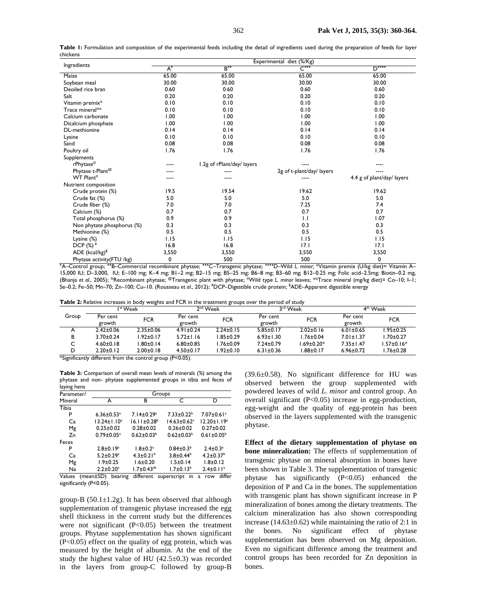| Ingredients                                                                                                                                 | Experimental diet (%/Kg) |                            |                             |                            |  |  |  |
|---------------------------------------------------------------------------------------------------------------------------------------------|--------------------------|----------------------------|-----------------------------|----------------------------|--|--|--|
|                                                                                                                                             | $A^*$                    | $B^{++}$                   | $\mathsf{C}^{\ast\ast\ast}$ | $D$ <sup>++++</sup>        |  |  |  |
| Maize                                                                                                                                       | 65.00                    | 65.00                      | 65.00                       | 65.00                      |  |  |  |
| Soybean meal                                                                                                                                | 30.00                    | 30.00                      | 30.00                       | 30.00                      |  |  |  |
| Deoiled rice bran                                                                                                                           | 0.60                     | 0.60                       | 0.60                        | 0.60                       |  |  |  |
| Salt                                                                                                                                        | 0.20                     | 0.20                       | 0.20                        | 0.20                       |  |  |  |
| Vitamin premix*                                                                                                                             | 0.10                     | 0.10                       | 0.10                        | 0.10                       |  |  |  |
| Trace mineral**                                                                                                                             | 0.10                     | 0.10                       | 0.10                        | 0.10                       |  |  |  |
| Calcium carbonate                                                                                                                           | 1.00                     | 1.00                       | 1.00                        | 1.00                       |  |  |  |
| Dicalcium phosphate                                                                                                                         | 1.00                     | 1.00                       | 1.00                        | 1.00                       |  |  |  |
| DL-methionine                                                                                                                               | 0.14                     | 0.14                       | 0.14                        | 0.14                       |  |  |  |
| Lysine                                                                                                                                      | 0.10                     | 0.10                       | 0.10                        | 0.10                       |  |  |  |
| Sand                                                                                                                                        | 0.08                     | 0.08                       | 0.08                        | 0.08                       |  |  |  |
| Poultry oil                                                                                                                                 | 1.76                     | 1.76                       | 1.76                        | 1.76                       |  |  |  |
| Supplements                                                                                                                                 |                          |                            |                             |                            |  |  |  |
| rPhytase <sup>©</sup>                                                                                                                       |                          | 1.2g of rPlant/day/ layers |                             |                            |  |  |  |
| Phytase t-Plant <sup>@</sup>                                                                                                                |                          |                            | 2g of t-plant/day/ layers   |                            |  |  |  |
| WT Plant#                                                                                                                                   |                          |                            | ----                        | 4.4 g of plant/day/ layers |  |  |  |
| Nutrient composition                                                                                                                        |                          |                            |                             |                            |  |  |  |
| Crude protein (%)                                                                                                                           | 19.5                     | 19.54                      | 19.62                       | 19.62                      |  |  |  |
| Crude fat (%)                                                                                                                               | 5.0                      | 5.0                        | 5.0                         | 5.0                        |  |  |  |
| Crude fiber (%)                                                                                                                             | 7.0                      | 7.0                        | 7.25                        | 7.4                        |  |  |  |
| Calcium (%)                                                                                                                                 | 0.7                      | 0.7                        | 0.7                         | 0.7                        |  |  |  |
| Total phosphorus (%)                                                                                                                        | 0.9                      | 0.9                        | $\mathbf{L}$                | 1.07                       |  |  |  |
| Non phytate phosphorus (%)                                                                                                                  | 0.3                      | 0.3                        | 0.3                         | 0.3                        |  |  |  |
| Methionine (%)                                                                                                                              | 0.5                      | 0.5                        | 0.5                         | 0.5                        |  |  |  |
| Lysine (%)                                                                                                                                  | 1.15                     | 1.15                       | 1.15                        | 1.15                       |  |  |  |
| DCP $(\%)^*$                                                                                                                                | 16.8                     | 16.8                       | 17.1                        | 17.1                       |  |  |  |
| ADE (kcal/kg) <sup>\$</sup>                                                                                                                 | 3,550                    | 3,550                      | 3,550                       | 3,550                      |  |  |  |
| Phytase activity (FTU /kg)                                                                                                                  | 0                        | 500                        | 500                         | 0                          |  |  |  |
| *A-Control group; **B-Commercial recombinant phytase; ***C-Transgenic phytase; ****D-Wild L. minor; *Vitamin premix (U/kg diet)= Vitamin A- |                          |                            |                             |                            |  |  |  |

**Table 1:** Formulation and composition of the experimental feeds including the detail of ingredients used during the preparation of feeds for layer chickens

15,000 IU; D–3,000, IU; E–100 mg; K–4 mg; B1–2 mg; B2–15 mg; B5–25 mg; B6–8 mg; B3–60 mg; B12–0.25 mg; Folic acid–2.5mg; Biotin–0.2 mg, (Bhanja *et al.*, 2005); ©Recombinant phytase; @Transgenic plant with phytase; # Wild type *L. minor* leaves; \*\*Trace mineral (mg/kg diet)= Co–10; I–1; Se–0.2; Fe–50; Mn–70; Zn–100; Cu–10. (Rousseau *et al.*, 2012); ¥ DCP–Digestible crude protein; \$ ADE–Apparent digestible energy

|       |                 | $\sim$               |                 | . .             |                 |                 |                 |                      |
|-------|-----------------|----------------------|-----------------|-----------------|-----------------|-----------------|-----------------|----------------------|
|       |                 | I <sup>st</sup> Week |                 | $2nd$ Week      |                 | 3rd Week        |                 | 4 <sup>th</sup> Week |
| Group | Per cent        | <b>FCR</b>           | Per cent        | <b>FCR</b>      | Per cent        | <b>FCR</b>      | Per cent        | FCR                  |
|       | growth          |                      | growth          |                 | growth          |                 | growth          |                      |
|       | $2.42 \pm 0.06$ | $2.35 \pm 0.06$      | $4.91 \pm 0.24$ | $2.24 \pm 0.15$ | $5.85 \pm 0.17$ | $2.02 \pm 0.16$ | $6.01 \pm 0.65$ | $.95 \pm 0.25$       |
| В     | $3.70 + 0.24$   | l.92±0.I7            | $5.72 \pm 1.16$ | $.85 \pm 0.29$  | $6.93 \pm 1.30$ | $1.76 \pm 0.04$ | $7.01 \pm 1.37$ | $.70 \pm 0.27$       |
|       | $4.60 \pm 0.18$ | l.80±0.14            | $6.80 \pm 0.85$ | l.76±0.09       | $7.24 \pm 0.79$ | l.69±0.20*      | $7.35 \pm 1.47$ | $1.57 \pm 0.16*$     |
| D     | $2.20 \pm 0.12$ | $2.00 \pm 0.18$      | $4.50 \pm 0.17$ | $.92 \pm 0.10$  | $6.31 \pm 0.36$ | l.88±0.17       | $6.96 \pm 0.72$ | $.76 \pm 0.28$       |
|       |                 |                      |                 |                 |                 |                 |                 |                      |

\*Significantly different from the control group (P<0.05).

**Table 3:** Comparison of overall mean levels of minerals (%) among the phytase and non- phytase supplemented groups in tibia and feces of laying hens

| Parameter/             | Groups                                    |                              |                               |                              |  |  |  |
|------------------------|-------------------------------------------|------------------------------|-------------------------------|------------------------------|--|--|--|
| Mineral                | А                                         | в                            | C                             | D                            |  |  |  |
| Tibia                  |                                           |                              |                               |                              |  |  |  |
| P                      | $6.36 \pm 0.53$ <sup>a</sup>              | $7.14 \pm 0.29$ <sup>a</sup> | $7.33 \pm 0.22^b$             | $7.07 \pm 0.61$ <sup>a</sup> |  |  |  |
| Ca                     | $13.24 \pm 1.10^a$                        | $16.11 \pm 0.28^b$           | $14.63 \pm 0.62$ <sup>c</sup> | $12.20 \pm 1.19^a$           |  |  |  |
| Mg                     | $0.25 \pm 0.02$                           | $0.28 + 0.02$                | $0.26 \pm 0.02$               | $0.27 \pm 0.02$              |  |  |  |
| Zn                     | $0.79 \pm 0.05^{\text{a}}$                | $0.62 \pm 0.03^b$            | $0.62 \pm 0.03^b$             | $0.61 \pm 0.05^{\circ}$      |  |  |  |
| Feces                  |                                           |                              |                               |                              |  |  |  |
| P                      | $2.8 \pm 0.19^a$                          | $1.8 \pm 0.2^a$              | $0.84 \pm 0.3^b$              | $2.4 \pm 0.3$ <sup>a</sup>   |  |  |  |
| Ca                     | $5.2 \pm 0.29$ <sup>a</sup>               | $4.3 \pm 0.21^{b}$           | $3.8 \pm 0.44^b$              | $4.2 \pm 0.37^b$             |  |  |  |
| Mg                     | $1.9 \pm 0.25$                            | $1.6 \pm 0.20$               | $1.5 \pm 0.14$                | $1.8 + 0.12$                 |  |  |  |
| Na                     | $2.2 \pm 0.20$ <sup>a</sup>               | $1.7 \pm 0.43^{ab}$          | $1.7 \pm 0.13^b$              | $2.4 \pm 0.11$ <sup>a</sup>  |  |  |  |
| $\cdots$<br>$\epsilon$ | $\sim$ $\sim$ $\sim$ $\sim$ $\sim$ $\sim$ |                              |                               | 1.00                         |  |  |  |

Values (mean±SD) bearing different superscript in a row differ significantly (P<0.05).

group-B ( $50.1 \pm 1.2$ g). It has been observed that although supplementation of transgenic phytase increased the egg shell thickness in the current study but the differences were not significant (P<0.05) between the treatment groups. Phytase supplementation has shown significant (P<0.05) effect on the quality of egg protein, which was measured by the height of albumin. At the end of the study the highest value of HU  $(42.5\pm0.3)$  was recorded in the layers from group-C followed by group-B

(39.6±0.58). No significant difference for HU was observed between the group supplemented with powdered leaves of wild *L. minor* and control group. An overall significant (P<0.05) increase in egg-production, egg-weight and the quality of egg-protein has been observed in the layers supplemented with the transgenic phytase.

**Effect of the dietary supplementation of phytase on bone mineralization:** The effects of supplementation of transgenic phytase on mineral absorption in bones have been shown in Table 3. The supplementation of transgenic phytase has significantly (P<0.05) enhanced the deposition of P and Ca in the bones. The supplementation with transgenic plant has shown significant increase in P mineralization of bones among the dietary treatments. The calcium mineralization has also shown corresponding increase  $(14.63\pm0.62)$  while maintaining the ratio of 2:1 in the bones. No significant effect of phytase supplementation has been observed on Mg deposition. Even no significant difference among the treatment and control groups has been recorded for Zn deposition in bones.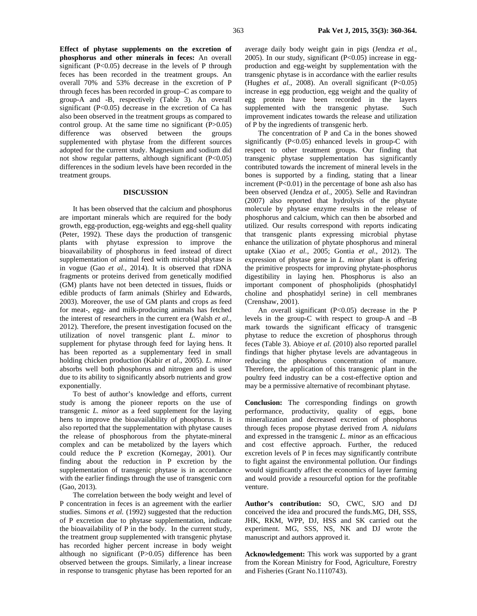**Effect of phytase supplements on the excretion of phosphorus and other minerals in feces:** An overall significant  $(P<0.05)$  decrease in the levels of P through feces has been recorded in the treatment groups. An overall 70% and 53% decrease in the excretion of P through feces has been recorded in group–C as compare to group-A and -B, respectively (Table 3). An overall significant  $(P<0.05)$  decrease in the excretion of Ca has also been observed in the treatment groups as compared to control group. At the same time no significant  $(P>0.05)$ difference was observed between the groups supplemented with phytase from the different sources adopted for the current study. Magnesium and sodium did not show regular patterns, although significant (P<0.05) differences in the sodium levels have been recorded in the treatment groups.

## **DISCUSSION**

It has been observed that the calcium and phosphorus are important minerals which are required for the body growth, egg-production, egg-weights and egg-shell quality (Peter, 1992). These days the production of transgenic plants with phytase expression to improve the bioavailability of phosphorus in feed instead of direct supplementation of animal feed with microbial phytase is in vogue (Gao *et al.*, 2014). It is observed that rDNA fragments or proteins derived from genetically modified (GM) plants have not been detected in tissues, fluids or edible products of farm animals (Shirley and Edwards, 2003). Moreover, the use of GM plants and crops as feed for meat-, egg- and milk-producing animals has fetched the interest of researchers in the current era (Walsh *et al.*, 2012). Therefore, the present investigation focused on the utilization of novel transgenic plant *L. minor* to supplement for phytase through feed for laying hens. It has been reported as a supplementary feed in small holding chicken production (Kabir *et al.*, 2005). *L. minor*  absorbs well both phosphorus and nitrogen and is used due to its ability to significantly absorb nutrients and grow exponentially.

To best of author's knowledge and efforts, current study is among the pioneer reports on the use of transgenic *L. minor* as a feed supplement for the laying hens to improve the bioavailability of phosphorus. It is also reported that the supplementation with phytase causes the release of phosphorous from the phytate-mineral complex and can be metabolized by the layers which could reduce the P excretion (Kornegay, 2001). Our finding about the reduction in P excretion by the supplementation of transgenic phytase is in accordance with the earlier findings through the use of transgenic corn (Gao, 2013).

The correlation between the body weight and level of P concentration in feces is an agreement with the earlier studies. Simons *et al.* (1992) suggested that the reduction of P excretion due to phytase supplementation, indicate the bioavailability of P in the body. In the current study, the treatment group supplemented with transgenic phytase has recorded higher percent increase in body weight although no significant (P>0.05) difference has been observed between the groups. Similarly, a linear increase in response to transgenic phytase has been reported for an average daily body weight gain in pigs (Jendza *et al.*, 2005). In our study, significant  $(P<0.05)$  increase in eggproduction and egg-weight by supplementation with the transgenic phytase is in accordance with the earlier results (Hughes *et al.*, 2008). An overall significant  $(P<0.05)$ increase in egg production, egg weight and the quality of egg protein have been recorded in the layers supplemented with the transgenic phytase. Such improvement indicates towards the release and utilization of P by the ingredients of transgenic herb.

The concentration of P and Ca in the bones showed significantly  $(P<0.05)$  enhanced levels in group-C with respect to other treatment groups. Our finding that transgenic phytase supplementation has significantly contributed towards the increment of mineral levels in the bones is supported by a finding, stating that a linear increment  $(P<0.01)$  in the percentage of bone ash also has been observed (Jendza *et al.*, 2005). Selle and Ravindran (2007) also reported that hydrolysis of the phytate molecule by phytase enzyme results in the release of phosphorus and calcium, which can then be absorbed and utilized. Our results correspond with reports indicating that transgenic plants expressing microbial phytase enhance the utilization of phytate phosphorus and mineral uptake (Xiao *et al.*, 2005; Gontia *et al.*, 2012). The expression of phytase gene in *L. minor* plant is offering the primitive prospects for improving phytate-phosphorus digestibility in laying hen. Phosphorus is also an important component of phospholipids (phosphatidyl choline and phosphatidyl serine) in cell membranes (Crenshaw, 2001).

An overall significant  $(P<0.05)$  decrease in the P levels in the group-C with respect to group-A and –B mark towards the significant efficacy of transgenic phytase to reduce the excretion of phosphorus through feces (Table 3). Abioye *et al.* (2010) also reported parallel findings that higher phytase levels are advantageous in reducing the phosphorus concentration of manure. Therefore, the application of this transgenic plant in the poultry feed industry can be a cost-effective option and may be a permissive alternative of recombinant phytase.

**Conclusion:** The corresponding findings on growth performance, productivity, quality of eggs, bone mineralization and decreased excretion of phosphorus through feces propose phytase derived from *A. nidulans* and expressed in the transgenic *L. minor* as an efficacious and cost effective approach. Further, the reduced excretion levels of P in feces may significantly contribute to fight against the environmental pollution. Our findings would significantly affect the economics of layer farming and would provide a resourceful option for the profitable venture.

**Author's contribution:** SO, CWC, SJO and DJ conceived the idea and procured the funds.MG, DH, SSS, JHK, RKM, WPP, DJ, HSS and SK carried out the experiment. MG, SSS, NS, NK and DJ wrote the manuscript and authors approved it.

**Acknowledgement:** This work was supported by a grant from the Korean Ministry for Food, Agriculture, Forestry and Fisheries (Grant No.1110743).